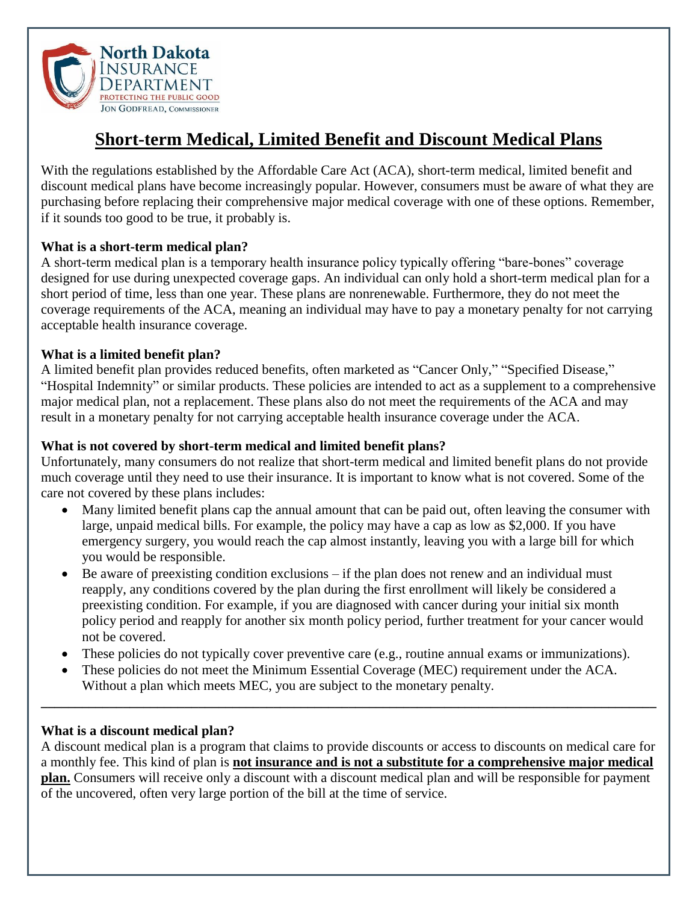

# **Short-term Medical, Limited Benefit and Discount Medical Plans**

With the regulations established by the Affordable Care Act (ACA), short-term medical, limited benefit and discount medical plans have become increasingly popular. However, consumers must be aware of what they are purchasing before replacing their comprehensive major medical coverage with one of these options. Remember, if it sounds too good to be true, it probably is.

#### **What is a short-term medical plan?**

A short-term medical plan is a temporary health insurance policy typically offering "bare-bones" coverage designed for use during unexpected coverage gaps. An individual can only hold a short-term medical plan for a short period of time, less than one year. These plans are nonrenewable. Furthermore, they do not meet the coverage requirements of the ACA, meaning an individual may have to pay a monetary penalty for not carrying acceptable health insurance coverage.

## **What is a limited benefit plan?**

A limited benefit plan provides reduced benefits, often marketed as "Cancer Only," "Specified Disease," "Hospital Indemnity" or similar products. These policies are intended to act as a supplement to a comprehensive major medical plan, not a replacement. These plans also do not meet the requirements of the ACA and may result in a monetary penalty for not carrying acceptable health insurance coverage under the ACA.

#### **What is not covered by short-term medical and limited benefit plans?**

Unfortunately, many consumers do not realize that short-term medical and limited benefit plans do not provide much coverage until they need to use their insurance. It is important to know what is not covered. Some of the care not covered by these plans includes:

- Many limited benefit plans cap the annual amount that can be paid out, often leaving the consumer with large, unpaid medical bills. For example, the policy may have a cap as low as \$2,000. If you have emergency surgery, you would reach the cap almost instantly, leaving you with a large bill for which you would be responsible.
- $\bullet$  Be aware of preexisting condition exclusions if the plan does not renew and an individual must reapply, any conditions covered by the plan during the first enrollment will likely be considered a preexisting condition. For example, if you are diagnosed with cancer during your initial six month policy period and reapply for another six month policy period, further treatment for your cancer would not be covered.
- These policies do not typically cover preventive care (e.g., routine annual exams or immunizations).

**\_\_\_\_\_\_\_\_\_\_\_\_\_\_\_\_\_\_\_\_\_\_\_\_\_\_\_\_\_\_\_\_\_\_\_\_\_\_\_\_\_\_\_\_\_\_\_\_\_\_\_\_\_\_\_\_\_\_\_\_\_\_\_\_\_\_\_\_\_\_\_\_\_\_\_\_\_\_\_\_\_\_\_\_\_\_\_\_\_\_**

 These policies do not meet the Minimum Essential Coverage (MEC) requirement under the ACA. Without a plan which meets MEC, you are subject to the monetary penalty.

#### **What is a discount medical plan?**

A discount medical plan is a program that claims to provide discounts or access to discounts on medical care for a monthly fee. This kind of plan is **not insurance and is not a substitute for a comprehensive major medical plan.** Consumers will receive only a discount with a discount medical plan and will be responsible for payment of the uncovered, often very large portion of the bill at the time of service.